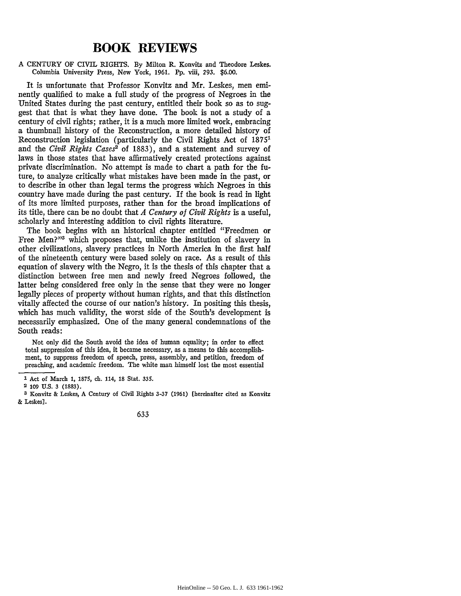## **BOOK REVIEWS**

## A CENTURY OF CIVIL RIGHTS. By Milton R. Konvitz and Theodore Leskes. Columbia University Press, New York, 1961. **Pp.** viii, 293. \$6.00.

It is unfortunate that Professor Konvitz and Mr. Leskes, men eminently qualified to make a full study of the progress of Negroes in the United States during the past century, entitled their book so as to suggest that that is what they have done. The book is not a study of a century of civil rights; rather, it is a much more limited work, embracing a thumbnail history of the Reconstruction, a more detailed history of Reconstruction legislation (particularly the Civil Rights Act of 18751 and the *Civil Rights Cases'* of 1883), and a statement and survey of laws in those states that have affirmatively created protections against private discrimination. No attempt is made to chart a path for the future, to analyze critically what mistakes have been made in the past, or to describe in other than legal terms the progress which Negroes in this country have made during the past century. If the book is read in light of its more limited purposes, rather than for the broad implications of its title, there can be no doubt that *A Century of Civil Rights* is a useful, scholarly and interesting addition to civil rights literature.

The book begins with an historical chapter entitled "Freedmen or Free Men?"<sup>3</sup> which proposes that, unlike the institution of slavery in other civilizations, slavery practices in North America in the first half of the nineteenth century were based solely on race. As a result of this equation of slavery with the Negro, it is the thesis of this chapter that a distinction between free men and newly freed Negroes followed, the latter being considered free only in the sense that they were no longer legally pieces of property without human rights, and that this distinction vitally affected the course of our nation's history. In positing this thesis, which has much validity, the worst side of the South's development is necessarily emphasized. One of the many general condemnations of the South reads:

Not only did the South avoid the idea of human equality; in order to effect total suppression of this idea, it became necessary, as a means to this accomplishment, to suppress freedom of speech, press, assembly, and petition, freedom of preaching, and academic freedom. The white man himself lost the most essential

**<sup>3</sup>** Konvitz & Leskes, A Century of Civil Rights **3-37 (1961)** [hereinafter cited as Konvitz **&** Leskes].



**<sup>1</sup>** Act of March **1, 1875,** ch. 114, **18** Stat. **335.**

<sup>2</sup> **109** U.S. **3 (1883).**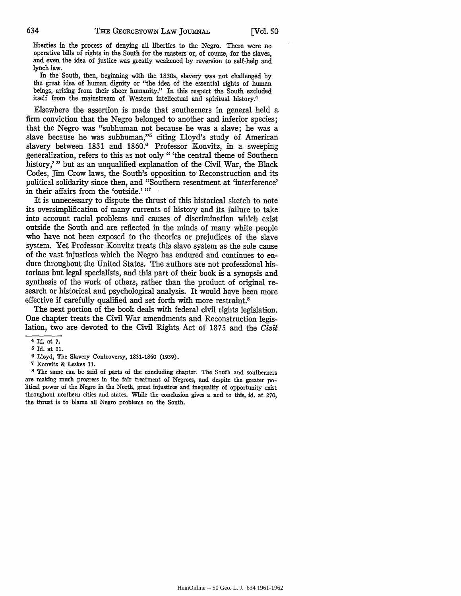liberties in the process of denying all liberties to the Negro. There were no operative bills of rights in the South for the masters or, of course, for the slaves, and even the idea of justice was greatly weakened by reversion to self-help and lynch law.

In the South, then, beginning with the 1830s, slavery was not challenged by the great idea of human dignity or "the idea of the essential rights of human beings, arising from their sheer humanity." In this respect the South excluded itself from the mainstream of Western intellectual and spiritual history.4

Elsewhere the assertion is made that southerners in general held a firm conviction that the Negro belonged to another and inferior species; that the Negro was "subhuman not because he was a slave; he was a slave because he was subhuman,"<sup>5</sup> citing Lloyd's study of American slavery between 1831 and 1860.<sup>6</sup> Professor Konvitz, in a sweeping generalization, refers to this as not only "'the central theme of Southern history,'" but as an unqualified explanation of the Civil War, the Black Codes, Jim Crow laws, the South's opposition to Reconstruction and its political solidarity since then, and "Southern resentment at 'interference' in their affairs from the 'outside.' **7,**

It is unnecessary to dispute the thrust of this historical sketch to note its oversimplification of many currents of history and its failure to take into account racial problems and causes of discrimination which exist outside the South and are reflected in the minds of many white people who have not been exposed to the theories or prejudices of the slave system. Yet Professor Konvitz treats this slave system as the sole cause of the vast injustices which the Negro has endured and continues to endure throughout the United States. The authors are not professional historians but legal specialists, and this part of their book is a synopsis and synthesis of the work of others, rather than the product of original research or historical and psychological analysis. It would have been more effective if carefully qualified and set forth with more restraint.8

The next portion of the book deals with federal civil rights legislation. One chapter treats the Civil War amendments and Reconstruction legislation, two are devoted to the Civil Rights Act of 1875 and the *Civil*

**s** The same can be said of parts of the concluding chapter. The South and southerners are making much progress in the fair treatment of Negroes, and despite the greater political power of the Negro in the North, great injustices and inequality of opportunity exist throughout northern cities and states. While the conclusion gives a nod to this, id. at 270, the thrust is to blame all Negro problems on the South.

**<sup>4</sup>** Id. at **7.**

**<sup>5</sup>**Id. at **11.**

**<sup>6</sup>** Lloyd, The Slavery Controversy, 1831-1860 (1939).

**<sup>7</sup>** Konvitz & Leskes 11.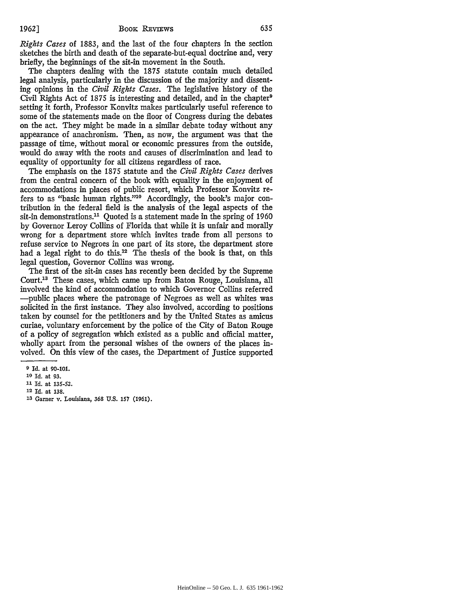*Rights Cases* of 1883, and the last of the four chapters in the section sketches the birth and death of the separate-but-equal doctrine and, very briefly, the beginnings of the sit-in movement in the South.

The chapters dealing with the 1875 statute contain much detailed legal analysis, particularly in the discussion of the majority and dissenting opinions in the *Civil Rights Cases.* The legislative history of the Civil Rights Act of 1875 is interesting and detailed, and in the chapter<sup>9</sup> setting it forth, Professor Konvitz makes particularly useful reference to some of the statements made on the floor of Congress during the debates on the act. They might be made in a similar debate today without any appearance of anachronism. Then, as now, the argument was that the passage of time, without moral or economic pressures from the outside, would do away with the roots and causes of discrimination and lead to equality of opportunity for all citizens regardless of race.

The emphasis on the 1875 statute and the *Civil Rights Cases* derives from the central concern of the book with equality in the enjoyment of accommodations in places of public resort, which Professor Konvitz refers to as "basic human rights."<sup>10</sup> Accordingly, the book's major contribution in the federal field is the analysis of the legal aspects of the sit-in demonstrations.<sup>11</sup> Quoted is a statement made in the spring of 1960 by Governor Leroy Collins of Florida that while it is unfair and morally wrong for a department store which invites trade from all persons to refuse service to Negroes in one part of its store, the department store had a legal right to do this.<sup>12</sup> The thesis of the book is that, on this legal question, Governor Collins was wrong.

The first of the sit-in cases has recently been decided by the Supreme Court.13 These cases, which came up from Baton Rouge, Louisiana, all involved the kind of accommodation to which Governor Collins referred -public places where the patronage of Negroes as well as whites was solicited in the first instance. They also involved, according to positions taken by counsel for the petitioners and by the United States as amicus curiae, voluntary enforcement by the police of the City of Baton Rouge of a policy of segregation which existed as a public and official matter, wholly apart from the personal wishes of the owners of the places involved. On this view of the cases, the Department of Justice supported

**<sup>9</sup> Id. at 90-101.**

**<sup>10</sup> Id.** at **93.**

**<sup>11</sup>Id. at 135-52.**

<sup>12</sup> **Id. at 138.**

**<sup>33</sup> Garner v.** Louisiana, **368 U.S. 157 (1961).**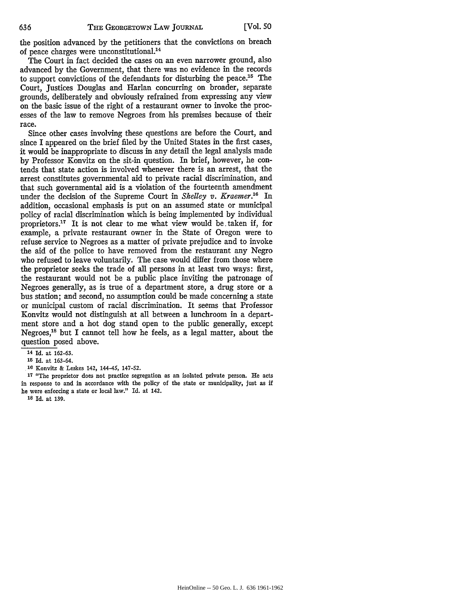the position advanced by the petitioners that the convictions on breach of peace charges were unconstitutional.<sup>14</sup>

The Court in fact decided the cases on an even narrower ground, also advanced by the Government, that there was no evidence in the records to support convictions of the defendants for disturbing the peace.<sup>15</sup> The Court, Justices Douglas and Harlan concurring on broader, separate grounds, deliberately and obviously refrained from expressing any view on the basic issue of the right of a restaurant owner to invoke the processes of the law to remove Negroes from his premises because of their race.

Since other cases involving these questions are before the Court, and since I appeared on the brief filed by the United States in the first cases, it would be inappropriate to discuss in any detail the legal analysis made by Professor Konvitz on the sit-in question. In brief, however, he contends that state action is involved whenever there is an arrest, that the arrest constitutes governmental aid to private racial discrimination, and that such governmental aid is a violation of the fourteenth amendment under the decision of the Supreme Court in *Shelley v. Kraemer*.<sup>16</sup> In addition, occasional emphasis is put on an assumed state or municipal policy of racial discrimination which is being implemented by individual proprietors.<sup>17</sup> It is not clear to me what view would be taken if, for example, a private restaurant owner in the State of Oregon were to refuse service to Negroes as a matter of private prejudice and to invoke the aid of the police to have removed from the restaurant any Negro who refused to leave voluntarily. The case would differ from those where the proprietor seeks the trade of all persons in at least two ways: first, the restaurant would not be a public place inviting the patronage of Negroes generally, as is true of a department store, a drug store or a bus station; and second, no assumption could be made concerning a state or municipal custom of racial discrimination. It seems that Professor Konvitz would not distinguish at all between a lunchroom in a department store and a hot dog stand open to the public generally, except Negroes,<sup>18</sup> but I cannot tell how he feels, as a legal matter, about the question posed above.

**<sup>17</sup>**"The proprietor does not practice segregation as an isolated private person. He acts in response to and in accordance with the policy of the state or municipality, just as **if** he were enforcing a state or local law." Id. at 142.

**<sup>18</sup>**Id. at 139.

**<sup>14</sup>** Id. at 162-63.

**<sup>15</sup>** Id. at 163-64.

**<sup>16</sup>** Konvitz & Leskes 142, 144-45, 147-52.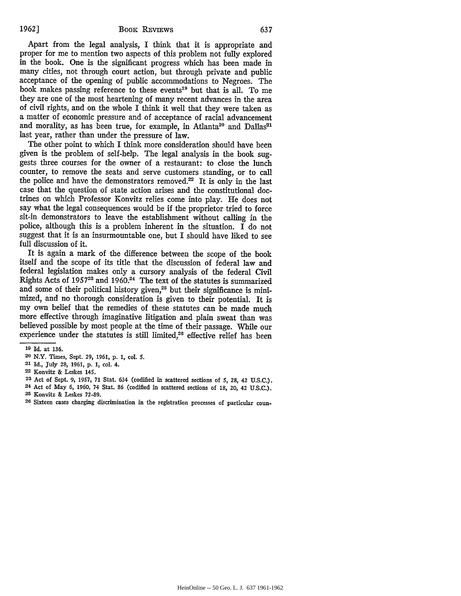Apart from the legal analysis, I think that it is appropriate and proper for me to mention two aspects of this problem not fully explored in the book. One is the significant progress which has been made in many cities, not through court action, but through private and public acceptance of the opening of public accommodations to Negroes. The book makes passing reference to these events<sup>19</sup> but that is all. To me they are one of the most heartening of many recent advances in the area of civil rights, and on the whole I think it well that they were taken as a matter of economic pressure and of acceptance of racial advancement and morality, as has been true, for example, in Atlanta<sup>20</sup> and Dallas<sup>21</sup> last year, rather than under the pressure of law.

The other point to which I think more consideration should have been given is the problem of self-help. The legal analysis in the book suggests three courses for the owner of a restaurant: to close the lunch counter, to remove the seats and serve customers standing, or to call the police and have the demonstrators removed. $22$  It is only in the last case that the question of state action arises and the constitutional doctrines on which Professor Konvitz relies come into play. He does not say what the legal consequences would be if the proprietor tried to force sit-in demonstrators to leave the establishment without calling in the police, although this is a problem inherent in the situation. I do not suggest that it is an insurmountable one, but I should have liked to see full discussion of it.

It is again a mark of the difference between the scope of the book itself and the scope of its title that the discussion of federal law and federal legislation makes only a cursory analysis of the federal Civil Rights Acts of 1957<sup>23</sup> and 1960.<sup>24</sup> The text of the statutes is summarized and some of their political history given,<sup>25</sup> but their significance is minimized, and no thorough consideration is given to their potential. It is my own belief that the remedies of these statutes can be made much more effective through imaginative litigation and plain sweat than was believed possible by most people at the time of their passage. While our experience under the statutes is still limited, $26$  effective relief has been

**<sup>19</sup> Id.** at **136.**

**<sup>20</sup>** N.Y. Times, Sept. **29,** 1961, p. 1, col. **S.**

**<sup>21</sup>** Id., July 28, **1961, p. 1,** col. 4.

**<sup>22</sup>** Konvitz **&** Leskes 145.

**<sup>23</sup>**Act of Sept. 9, **1957, 71** Stat. 634 (codified in scattered sections of **5,** 28, 42 U.S.C.). 24 Act of May 6, 1960, 74 Stat. 86 (codified in scattered sections of 18, 20, 42 U.S.C.).

**<sup>25</sup>** Konvitz & Leskes **72-89.**

**<sup>26</sup>** Sixteen cases charging discrimination in the registration processes of particular coun-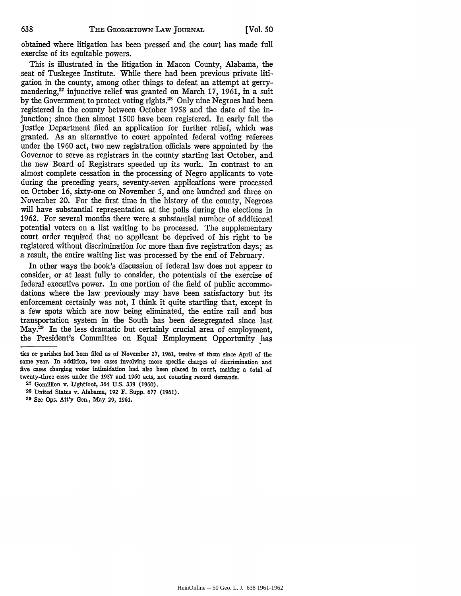obtained where litigation has been pressed and the court has made full exercise of its equitable powers.

This is illustrated in the litigation in Macon County, Alabama, the seat of Tuskegee Institute. While there had been previous private litigation in the county, among other things to defeat an attempt at gerrymandering,<sup>27</sup> injunctive relief was granted on March 17, 1961, in a suit by the Government to protect voting rights.<sup>28</sup> Only nine Negroes had been registered in the county between October 1958 and the date of the injunction; since then almost 1500 have been registered. In early fall the Justice Department filed an application for further relief, which was granted. As an alternative to court appointed federal voting referees under the 1960 act, two new registration officials were appointed by the Governor to serve as registrars in the county starting last October, and the new Board of Registrars speeded up its work. In contrast to an almost complete cessation in the processing of Negro applicants to vote during the preceding years, seventy-seven applications were processed on October 16, sixty-one on November 5, and one hundred and three on November 20. For the first time in the history of the county, Negroes will have substantial representation at the polls during the elections in 1962. For several months there were a substantial number of additional potential voters on a list waiting to be processed. The supplementary court order required that no applicant be deprived of his right to be registered without discrimination for more than five registration days; as a result, the entire waiting list was processed by the end of February.

In other ways the book's discussion of federal law does not appear to consider, or at least fully to consider, the potentials of the exercise of federal executive power. In one portion of the field of public accommodations where the law previously may have been satisfactory but its enforcement certainly was not, I think it quite startling that, except in a few spots which are now being eliminated, the entire rail and bus transportation system in the South has been desegregated since last May.<sup>29</sup> In the less dramatic but certainly crucial area of employment, the President's Committee on Equal Employment Opportunity has

**29** See Ops. Att'y Gen., May 29, 1961.

ties or parishes had been filed as of November **27,** 1961, twelve of them since April of the same year. In addition, two cases involving more specific charges of discrimination and five cases charging voter intimidation had also been placed in court, making a total of twenty-three cases under the 1957 and 1960 acts, not counting record demands.

**<sup>27</sup>** Gomillion v. Lightfoot, 364 U.S. 339 (1960).

**<sup>28</sup>** United States v. Alabama, **192** F. Supp. **677** (1961).